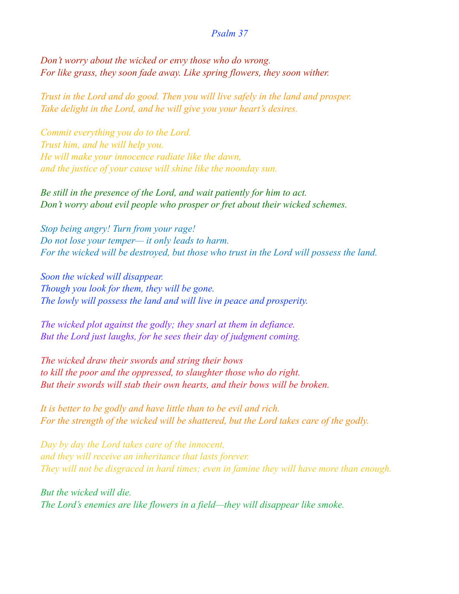## *Psalm 37*

*Don't worry about the wicked or envy those who do wrong. For like grass, they soon fade away. Like spring flowers, they soon wither.* 

*Trust in the Lord and do good. Then you will live safely in the land and prosper. Take delight in the Lord, and he will give you your heart's desires.* 

*Commit everything you do to the Lord. Trust him, and he will help you. He will make your innocence radiate like the dawn, and the justice of your cause will shine like the noonday sun.* 

*Be still in the presence of the Lord, and wait patiently for him to act. Don't worry about evil people who prosper or fret about their wicked schemes.* 

*Stop being angry! Turn from your rage! Do not lose your temper— it only leads to harm. For the wicked will be destroyed, but those who trust in the Lord will possess the land.* 

*Soon the wicked will disappear. Though you look for them, they will be gone. The lowly will possess the land and will live in peace and prosperity.* 

*The wicked plot against the godly; they snarl at them in defiance. But the Lord just laughs, for he sees their day of judgment coming.*

*The wicked draw their swords and string their bows to kill the poor and the oppressed, to slaughter those who do right. But their swords will stab their own hearts, and their bows will be broken.* 

*It is better to be godly and have little than to be evil and rich. For the strength of the wicked will be shattered, but the Lord takes care of the godly.* 

*Day by day the Lord takes care of the innocent, and they will receive an inheritance that lasts forever. They will not be disgraced in hard times; even in famine they will have more than enough.* 

*But the wicked will die. The Lord's enemies are like flowers in a field—they will disappear like smoke.*